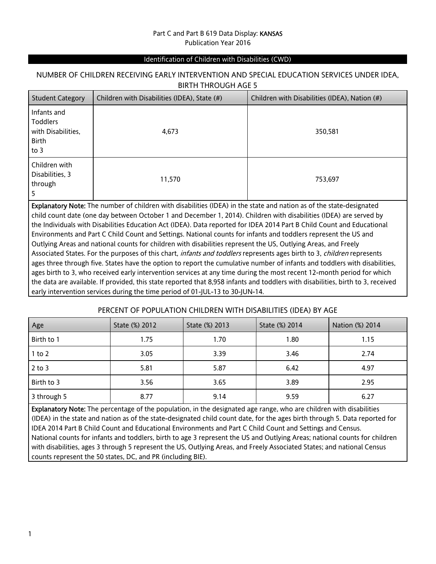## Part C and Part B 619 Data Display: KANSAS Publication Year 2016

### Identification of Children with Disabilities (CWD)

## NUMBER OF CHILDREN RECEIVING EARLY INTERVENTION AND SPECIAL EDUCATION SERVICES UNDER IDEA, BIRTH THROUGH AGE 5

| <b>Student Category</b>                                                 | Children with Disabilities (IDEA), State (#)                                                                       | Children with Disabilities (IDEA), Nation (#) |
|-------------------------------------------------------------------------|--------------------------------------------------------------------------------------------------------------------|-----------------------------------------------|
| Infants and<br><b>Toddlers</b><br>with Disabilities,<br>Birth<br>to $3$ | 4,673                                                                                                              | 350,581                                       |
| Children with<br>Disabilities, 3<br>through<br>5                        | 11,570                                                                                                             | 753,697                                       |
|                                                                         | Evalanter Nata: The number of children with disphilities (IDEA) in the state and nation as of the state designated |                                               |

Explanatory Note: The number of children with disabilities (IDEA) in the state and nation as of the state-designated child count date (one day between October 1 and December 1, 2014). Children with disabilities (IDEA) are served by the Individuals with Disabilities Education Act (IDEA). Data reported for IDEA 2014 Part B Child Count and Educational Environments and Part C Child Count and Settings. National counts for infants and toddlers represent the US and Outlying Areas and national counts for children with disabilities represent the US, Outlying Areas, and Freely Associated States. For the purposes of this chart, *infants and toddlers* represents ages birth to 3, *children* represents ages three through five. States have the option to report the cumulative number of infants and toddlers with disabilities, ages birth to 3, who received early intervention services at any time during the most recent 12-month period for which the data are available. If provided, this state reported that 8,958 infants and toddlers with disabilities, birth to 3, received early intervention services during the time period of 01-JUL-13 to 30-JUN-14.

## PERCENT OF POPULATION CHILDREN WITH DISABILITIES (IDEA) BY AGE

| Age         | State (%) 2012 | State (%) 2013 | State (%) 2014 | Nation (%) 2014 |
|-------------|----------------|----------------|----------------|-----------------|
| Birth to 1  | 1.75           | 1.70           | 1.80           | 1.15            |
| $1$ to $2$  | 3.05           | 3.39           | 3.46           | 2.74            |
| $2$ to $3$  | 5.81           | 5.87           | 6.42           | 4.97            |
| Birth to 3  | 3.56           | 3.65           | 3.89           | 2.95            |
| 3 through 5 | 8.77           | 9.14           | 9.59           | 6.27            |

Explanatory Note: The percentage of the population, in the designated age range, who are children with disabilities (IDEA) in the state and nation as of the state-designated child count date, for the ages birth through 5. Data reported for IDEA 2014 Part B Child Count and Educational Environments and Part C Child Count and Settings and Census. National counts for infants and toddlers, birth to age 3 represent the US and Outlying Areas; national counts for children with disabilities, ages 3 through 5 represent the US, Outlying Areas, and Freely Associated States; and national Census counts represent the 50 states, DC, and PR (including BIE).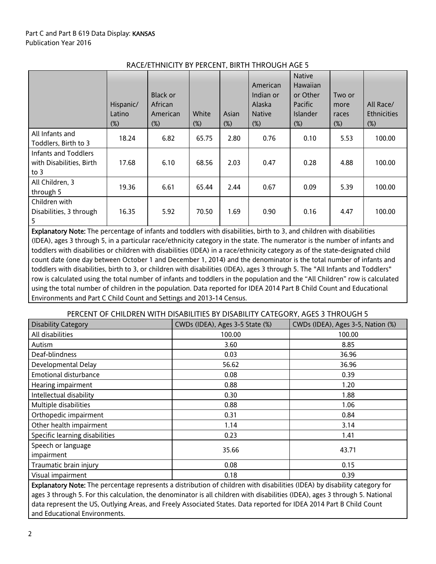|                                                            | Hispanic/<br>Latino<br>$(\%)$ | <b>Black or</b><br>African<br>American<br>$(\%)$ | White<br>$(\%)$ | Asian<br>$(\%)$ | American<br>Indian or<br><b>Alaska</b><br><b>Native</b><br>$(\%)$ | <b>Native</b><br>Hawaiian<br>or Other<br><b>Pacific</b><br><b>Islander</b><br>$(\%)$ | Two or<br>more<br>races<br>$(\%)$ | All Race/<br><b>Ethnicities</b><br>$(\%)$ |
|------------------------------------------------------------|-------------------------------|--------------------------------------------------|-----------------|-----------------|-------------------------------------------------------------------|--------------------------------------------------------------------------------------|-----------------------------------|-------------------------------------------|
| All Infants and<br>Toddlers, Birth to 3                    | 18.24                         | 6.82                                             | 65.75           | 2.80            | 0.76                                                              | 0.10                                                                                 | 5.53                              | 100.00                                    |
| Infants and Toddlers<br>with Disabilities, Birth<br>to $3$ | 17.68                         | 6.10                                             | 68.56           | 2.03            | 0.47                                                              | 0.28                                                                                 | 4.88                              | 100.00                                    |
| All Children, 3<br>through 5                               | 19.36                         | 6.61                                             | 65.44           | 2.44            | 0.67                                                              | 0.09                                                                                 | 5.39                              | 100.00                                    |
| Children with<br>Disabilities, 3 through<br>5              | 16.35                         | 5.92                                             | 70.50           | 1.69            | 0.90                                                              | 0.16                                                                                 | 4.47                              | 100.00                                    |

Explanatory Note: The percentage of infants and toddlers with disabilities, birth to 3, and children with disabilities (IDEA), ages 3 through 5, in a particular race/ethnicity category in the state. The numerator is the number of infants and toddlers with disabilities or children with disabilities (IDEA) in a race/ethnicity category as of the state-designated child count date (one day between October 1 and December 1, 2014) and the denominator is the total number of infants and toddlers with disabilities, birth to 3, or children with disabilities (IDEA), ages 3 through 5. The "All Infants and Toddlers" row is calculated using the total number of infants and toddlers in the population and the "All Children" row is calculated using the total number of children in the population. Data reported for IDEA 2014 Part B Child Count and Educational Environments and Part C Child Count and Settings and 2013-14 Census.

## PERCENT OF CHILDREN WITH DISABILITIES BY DISABILITY CATEGORY, AGES 3 THROUGH 5

| <b>Disability Category</b>     | CWDs (IDEA), Ages 3-5 State (%) | CWDs (IDEA), Ages 3-5, Nation (%) |
|--------------------------------|---------------------------------|-----------------------------------|
| All disabilities               | 100.00                          | 100.00                            |
| Autism                         | 3.60                            | 8.85                              |
| Deaf-blindness                 | 0.03                            | 36.96                             |
| Developmental Delay            | 56.62                           | 36.96                             |
| Emotional disturbance          | 0.08                            | 0.39                              |
| Hearing impairment             | 0.88                            | 1.20                              |
| Intellectual disability        | 0.30                            | 1.88                              |
| Multiple disabilities          | 0.88                            | 1.06                              |
| Orthopedic impairment          | 0.31                            | 0.84                              |
| Other health impairment        | 1.14                            | 3.14                              |
| Specific learning disabilities | 0.23                            | 1.41                              |
| Speech or language             |                                 |                                   |
| impairment                     | 35.66                           | 43.71                             |
| Traumatic brain injury         | 0.08                            | 0.15                              |
| Visual impairment              | 0.18                            | 0.39                              |

Explanatory Note: The percentage represents a distribution of children with disabilities (IDEA) by disability category for ages 3 through 5. For this calculation, the denominator is all children with disabilities (IDEA), ages 3 through 5. National data represent the US, Outlying Areas, and Freely Associated States. Data reported for IDEA 2014 Part B Child Count and Educational Environments.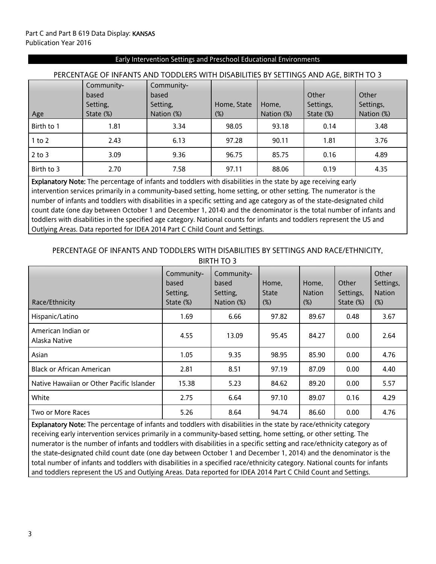## Early Intervention Settings and Preschool Educational Environments

## PERCENTAGE OF INFANTS AND TODDLERS WITH DISABILITIES BY SETTINGS AND AGE, BIRTH TO 3

|            | Community- | Community- |             |            |           |            |
|------------|------------|------------|-------------|------------|-----------|------------|
|            | based      | based      |             |            | Other     | Other      |
|            | Setting,   | Setting,   | Home, State | Home,      | Settings, | Settings,  |
| Age        | State (%)  | Nation (%) | $(\%)$      | Nation (%) | State (%) | Nation (%) |
| Birth to 1 | 1.81       | 3.34       | 98.05       | 93.18      | 0.14      | 3.48       |
| $1$ to $2$ | 2.43       | 6.13       | 97.28       | 90.11      | 1.81      | 3.76       |
| $2$ to $3$ | 3.09       | 9.36       | 96.75       | 85.75      | 0.16      | 4.89       |
| Birth to 3 | 2.70       | 7.58       | 97.11       | 88.06      | 0.19      | 4.35       |

Explanatory Note: The percentage of infants and toddlers with disabilities in the state by age receiving early intervention services primarily in a community-based setting, home setting, or other setting. The numerator is the number of infants and toddlers with disabilities in a specific setting and age category as of the state-designated child count date (one day between October 1 and December 1, 2014) and the denominator is the total number of infants and toddlers with disabilities in the specified age category. National counts for infants and toddlers represent the US and Outlying Areas. Data reported for IDEA 2014 Part C Child Count and Settings.

# PERCENTAGE OF INFANTS AND TODDLERS WITH DISABILITIES BY SETTINGS AND RACE/ETHNICITY,

BIRTH TO 3

| Race/Ethnicity                            | Community-<br>based<br>Setting,<br>State (%) | Community-<br>based<br>Setting,<br>Nation (%) | Home,<br>State<br>$(\%)$ | Home.<br><b>Nation</b><br>$(\%)$ | Other<br>Settings,<br>State (%) | Other<br>Settings,<br><b>Nation</b><br>$(\%)$ |
|-------------------------------------------|----------------------------------------------|-----------------------------------------------|--------------------------|----------------------------------|---------------------------------|-----------------------------------------------|
| Hispanic/Latino                           | 1.69                                         | 6.66                                          | 97.82                    | 89.67                            | 0.48                            | 3.67                                          |
| American Indian or<br>Alaska Native       | 4.55                                         | 13.09                                         | 95.45                    | 84.27                            | 0.00                            | 2.64                                          |
| Asian                                     | 1.05                                         | 9.35                                          | 98.95                    | 85.90                            | 0.00                            | 4.76                                          |
| <b>Black or African American</b>          | 2.81                                         | 8.51                                          | 97.19                    | 87.09                            | 0.00                            | 4.40                                          |
| Native Hawaiian or Other Pacific Islander | 15.38                                        | 5.23                                          | 84.62                    | 89.20                            | 0.00                            | 5.57                                          |
| White                                     | 2.75                                         | 6.64                                          | 97.10                    | 89.07                            | 0.16                            | 4.29                                          |
| Two or More Races                         | 5.26                                         | 8.64                                          | 94.74                    | 86.60                            | 0.00                            | 4.76                                          |

Explanatory Note: The percentage of infants and toddlers with disabilities in the state by race/ethnicity category receiving early intervention services primarily in a community-based setting, home setting, or other setting. The numerator is the number of infants and toddlers with disabilities in a specific setting and race/ethnicity category as of the state-designated child count date (one day between October 1 and December 1, 2014) and the denominator is the total number of infants and toddlers with disabilities in a specified race/ethnicity category. National counts for infants and toddlers represent the US and Outlying Areas. Data reported for IDEA 2014 Part C Child Count and Settings.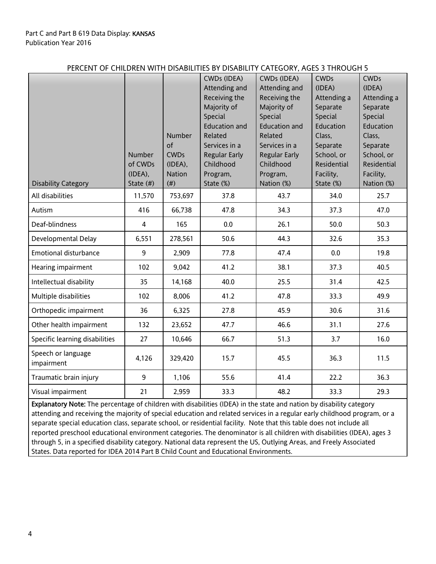## PERCENT OF CHILDREN WITH DISABILITIES BY DISABILITY CATEGORY, AGES 3 THROUGH 5

|                                  |                |               | CWDs (IDEA)          | CWDs (IDEA)          | <b>CWDs</b> | <b>CWDs</b> |
|----------------------------------|----------------|---------------|----------------------|----------------------|-------------|-------------|
|                                  |                |               | Attending and        | Attending and        | (IDEA)      | (IDEA)      |
|                                  |                |               | Receiving the        | Receiving the        | Attending a | Attending a |
|                                  |                |               | Majority of          | Majority of          | Separate    | Separate    |
|                                  |                |               | Special              | Special              | Special     | Special     |
|                                  |                |               | <b>Education and</b> | <b>Education and</b> | Education   | Education   |
|                                  |                | <b>Number</b> | Related              | Related              | Class.      | Class.      |
|                                  |                | of            | Services in a        | Services in a        | Separate    | Separate    |
|                                  | Number         | <b>CWDs</b>   | <b>Regular Early</b> | <b>Regular Early</b> | School, or  | School, or  |
|                                  | of CWDs        | (IDEA),       | Childhood            | Childhood            | Residential | Residential |
|                                  | (IDEA),        | Nation        | Program,             | Program,             | Facility,   | Facility,   |
| <b>Disability Category</b>       | State $(#)$    | (# )          | State (%)            | Nation (%)           | State (%)   | Nation (%)  |
| All disabilities                 | 11,570         | 753,697       | 37.8                 | 43.7                 | 34.0        | 25.7        |
| Autism                           | 416            | 66,738        | 47.8                 | 34.3                 | 37.3        | 47.0        |
| Deaf-blindness                   | $\overline{4}$ | 165           | 0.0                  | 26.1                 | 50.0        | 50.3        |
| Developmental Delay              | 6,551          | 278,561       | 50.6                 | 44.3                 | 32.6        | 35.3        |
| Emotional disturbance            | 9              | 2,909         | 77.8                 | 47.4                 | 0.0         | 19.8        |
| Hearing impairment               | 102            | 9,042         | 41.2                 | 38.1                 | 37.3        | 40.5        |
| Intellectual disability          | 35             | 14,168        | 40.0                 | 25.5                 | 31.4        | 42.5        |
| Multiple disabilities            | 102            | 8,006         | 41.2                 | 47.8                 | 33.3        | 49.9        |
| Orthopedic impairment            | 36             | 6,325         | 27.8                 | 45.9                 | 30.6        | 31.6        |
| Other health impairment          | 132            | 23,652        | 47.7                 | 46.6                 | 31.1        | 27.6        |
| Specific learning disabilities   | 27             | 10,646        | 66.7                 | 51.3                 | 3.7         | 16.0        |
| Speech or language<br>impairment | 4,126          | 329,420       | 15.7                 | 45.5                 | 36.3        | 11.5        |
| Traumatic brain injury           | 9              | 1,106         | 55.6                 | 41.4                 | 22.2        | 36.3        |
| Visual impairment                | 21             | 2,959         | 33.3                 | 48.2                 | 33.3        | 29.3        |

Explanatory Note: The percentage of children with disabilities (IDEA) in the state and nation by disability category attending and receiving the majority of special education and related services in a regular early childhood program, or a separate special education class, separate school, or residential facility. Note that this table does not include all reported preschool educational environment categories. The denominator is all children with disabilities (IDEA), ages 3 through 5, in a specified disability category. National data represent the US, Outlying Areas, and Freely Associated States. Data reported for IDEA 2014 Part B Child Count and Educational Environments.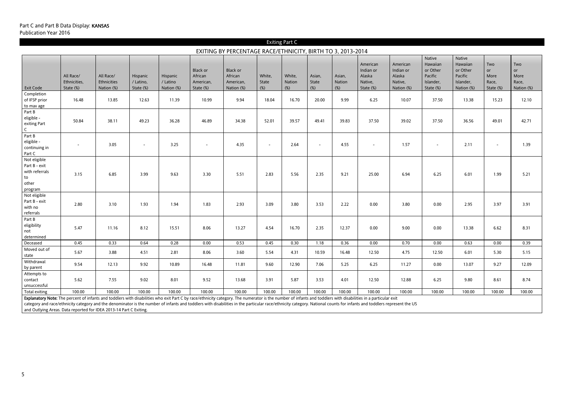|                                                                           | <b>EXILIIIS FAILL</b><br>EXITING BY PERCENTAGE RACE/ETHNICITY, BIRTH TO 3, 2013-2014 |                                        |                                    |                                    |                                                      |                                                       |                           |                         |                           |                            |                                                         |                                                          |                                                                     |                                                                      |                                         |                                          |
|---------------------------------------------------------------------------|--------------------------------------------------------------------------------------|----------------------------------------|------------------------------------|------------------------------------|------------------------------------------------------|-------------------------------------------------------|---------------------------|-------------------------|---------------------------|----------------------------|---------------------------------------------------------|----------------------------------------------------------|---------------------------------------------------------------------|----------------------------------------------------------------------|-----------------------------------------|------------------------------------------|
| <b>Exit Code</b>                                                          | All Race/<br>Ethnicities,<br>State (%)                                               | All Race/<br>Ethnicities<br>Nation (%) | Hispanic<br>/ Latino.<br>State (%) | Hispanic<br>/ Latino<br>Nation (%) | <b>Black or</b><br>African<br>American,<br>State (%) | <b>Black or</b><br>African<br>American,<br>Nation (%) | White,<br>State<br>$(\%)$ | White,<br>Nation<br>(%) | Asian,<br>State<br>$(\%)$ | Asian,<br>Nation<br>$(\%)$ | American<br>Indian or<br>Alaska<br>Native,<br>State (%) | American<br>Indian or<br>Alaska<br>Native,<br>Nation (%) | Native<br>Hawaiian<br>or Other<br>Pacific<br>Islander,<br>State (%) | Native<br>Hawaiian<br>or Other<br>Pacific<br>Islander,<br>Nation (%) | Two<br>or<br>More<br>Race,<br>State (%) | Two<br>or<br>More<br>Race,<br>Nation (%) |
| Completion<br>of IFSP prior<br>to max age                                 | 16.48                                                                                | 13.85                                  | 12.63                              | 11.39                              | 10.99                                                | 9.94                                                  | 18.04                     | 16.70                   | 20.00                     | 9.99                       | 6.25                                                    | 10.07                                                    | 37.50                                                               | 13.38                                                                | 15.23                                   | 12.10                                    |
| Part B<br>eligible -<br>exiting Part<br>$\mathsf{C}$                      | 50.84                                                                                | 38.11                                  | 49.23                              | 36.28                              | 46.89                                                | 34.38                                                 | 52.01                     | 39.57                   | 49.41                     | 39.83                      | 37.50                                                   | 39.02                                                    | 37.50                                                               | 36.56                                                                | 49.01                                   | 42.71                                    |
| Part B<br>eligible -<br>continuing in<br>Part C                           |                                                                                      | 3.05                                   | $\overline{\phantom{a}}$           | 3.25                               | $\overline{\phantom{a}}$                             | 4.35                                                  | $\overline{\phantom{a}}$  | 2.64                    | $\overline{\phantom{0}}$  | 4.55                       | $\overline{\phantom{a}}$                                | 1.57                                                     | $\overline{\phantom{a}}$                                            | 2.11                                                                 | $\overline{\phantom{a}}$                | 1.39                                     |
| Not eligible<br>Part B - exit<br>with referrals<br>to<br>other<br>program | 3.15                                                                                 | 6.85                                   | 3.99                               | 9.63                               | 3.30                                                 | 5.51                                                  | 2.83                      | 5.56                    | 2.35                      | 9.21                       | 25.00                                                   | 6.94                                                     | 6.25                                                                | 6.01                                                                 | 1.99                                    | 5.21                                     |
| Not eligible<br>Part B - exit<br>with no<br>referrals                     | 2.80                                                                                 | 3.10                                   | 1.93                               | 1.94                               | 1.83                                                 | 2.93                                                  | 3.09                      | 3.80                    | 3.53                      | 2.22                       | 0.00                                                    | 3.80                                                     | 0.00                                                                | 2.95                                                                 | 3.97                                    | 3.91                                     |
| Part B<br>eligibility<br>not<br>determined                                | 5.47                                                                                 | 11.16                                  | 8.12                               | 15.51                              | 8.06                                                 | 13.27                                                 | 4.54                      | 16.70                   | 2.35                      | 12.37                      | 0.00                                                    | 9.00                                                     | 0.00                                                                | 13.38                                                                | 6.62                                    | 8.31                                     |
| Deceased                                                                  | 0.45                                                                                 | 0.33                                   | 0.64                               | 0.28                               | 0.00                                                 | 0.53                                                  | 0.45                      | 0.30                    | 1.18                      | 0.36                       | 0.00                                                    | 0.70                                                     | 0.00                                                                | 0.63                                                                 | 0.00                                    | 0.39                                     |
| Moved out of<br>state                                                     | 5.67                                                                                 | 3.88                                   | 4.51                               | 2.81                               | 8.06                                                 | 3.60                                                  | 5.54                      | 4.31                    | 10.59                     | 16.48                      | 12.50                                                   | 4.75                                                     | 12.50                                                               | 6.01                                                                 | 5.30                                    | 5.15                                     |
| Withdrawal<br>by parent                                                   | 9.54                                                                                 | 12.13                                  | 9.92                               | 10.89                              | 16.48                                                | 11.81                                                 | 9.60                      | 12.90                   | 7.06                      | 5.25                       | 6.25                                                    | 11.27                                                    | 0.00                                                                | 13.07                                                                | 9.27                                    | 12.09                                    |
| Attempts to<br>contact<br>unsuccessful                                    | 5.62                                                                                 | 7.55                                   | 9.02                               | 8.01                               | 9.52                                                 | 13.68                                                 | 3.91                      | 5.87                    | 3.53                      | 4.01                       | 12.50                                                   | 12.88                                                    | 6.25                                                                | 9.80                                                                 | 8.61                                    | 8.74                                     |
| <b>Total exiting</b>                                                      | 100.00                                                                               | 100.00                                 | 100.00                             | 100.00                             | 100.00                                               | 100.00                                                | 100.00                    | 100.00                  | 100.00                    | 100.00                     | 100.00                                                  | 100.00                                                   | 100.00                                                              | 100.00                                                               | 100.00                                  | 100.00                                   |

 $E$ . Exiting Part C

Explanatory Note: The percent of infants and toddlers with disabilities who exit Part C by race/ethnicity category. The numerator is the number of infants and toddlers with disabilities in a particular exit

category and race/ethnicity category and the denominator is the number of infants and toddlers with disabilities in the particular race/ethnicity category. National counts for infants and toddlers represent the US

and Outlying Areas. Data reported for IDEA 2013-14 Part C Exiting.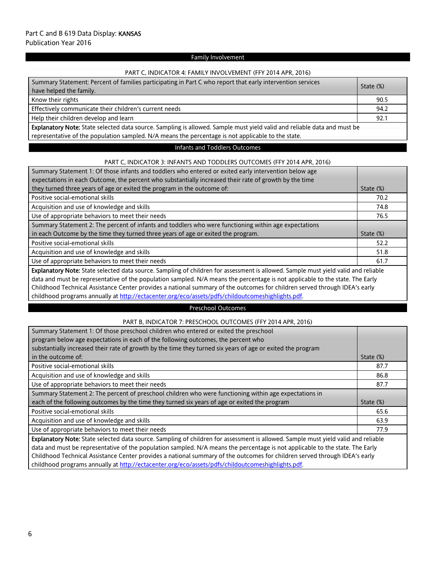### Family Involvement

#### PART C, INDICATOR 4: FAMILY INVOLVEMENT (FFY 2014 APR, 2016)

| Summary Statement: Percent of families participating in Part C who report that early intervention services<br>have helped the family.                                                                                                                                                                                                                     | State (%) |  |  |  |
|-----------------------------------------------------------------------------------------------------------------------------------------------------------------------------------------------------------------------------------------------------------------------------------------------------------------------------------------------------------|-----------|--|--|--|
| Know their rights                                                                                                                                                                                                                                                                                                                                         | 90.5      |  |  |  |
| Effectively communicate their children's current needs                                                                                                                                                                                                                                                                                                    | 94.2      |  |  |  |
| Help their children develop and learn                                                                                                                                                                                                                                                                                                                     | 92.1      |  |  |  |
| Explanatory Note: State selected data source. Sampling is allowed. Sample must yield valid and reliable data and must be<br>. The contract of the contract of the contract of the contract of the contract of the contract of the contract of the contract of the contract of the contract of the contract of the contract of the contract of the contrac |           |  |  |  |

representative of the population sampled. N/A means the percentage is not applicable to the state.

### Infants and Toddlers Outcomes

### PART C, INDICATOR 3: INFANTS AND TODDLERS OUTCOMES (FFY 2014 APR, 2016)

| Summary Statement 1: Of those infants and toddlers who entered or exited early intervention below age                              |              |  |  |  |
|------------------------------------------------------------------------------------------------------------------------------------|--------------|--|--|--|
| expectations in each Outcome, the percent who substantially increased their rate of growth by the time                             |              |  |  |  |
| they turned three years of age or exited the program in the outcome of:                                                            | State (%)    |  |  |  |
| Positive social-emotional skills                                                                                                   | 70.2         |  |  |  |
| Acquisition and use of knowledge and skills                                                                                        | 74.8         |  |  |  |
| Use of appropriate behaviors to meet their needs                                                                                   | 76.5         |  |  |  |
| Summary Statement 2: The percent of infants and toddlers who were functioning within age expectations                              |              |  |  |  |
| in each Outcome by the time they turned three years of age or exited the program.                                                  | State $(\%)$ |  |  |  |
| Positive social-emotional skills                                                                                                   | 52.2         |  |  |  |
| Acquisition and use of knowledge and skills                                                                                        | 51.8         |  |  |  |
| Use of appropriate behaviors to meet their needs                                                                                   | 61.7         |  |  |  |
| Explanatory Note: State selected data source. Sampling of children for assessment is allowed. Sample must yield valid and reliable |              |  |  |  |
| data and must be representative of the population sampled. N/A means the percentage is not applicable to the state. The Early      |              |  |  |  |
|                                                                                                                                    |              |  |  |  |

Childhood Technical Assistance Center provides a national summary of the outcomes for children served through IDEA's early childhood programs annually at [http://ectacenter.org/eco/assets/pdfs/childoutcomeshighlights.pdf](http://www2.ed.gov/fund/grant/apply/osep/2014apps.html).

#### Preschool Outcomes

### PART B, INDICATOR 7: PRESCHOOL OUTCOMES (FFY 2014 APR, 2016)

| Summary Statement 1: Of those preschool children who entered or exited the preschool                                            |              |  |  |
|---------------------------------------------------------------------------------------------------------------------------------|--------------|--|--|
| program below age expectations in each of the following outcomes, the percent who                                               |              |  |  |
| substantially increased their rate of growth by the time they turned six years of age or exited the program                     |              |  |  |
| in the outcome of:                                                                                                              | State (%)    |  |  |
| Positive social-emotional skills                                                                                                | 87.7         |  |  |
| Acquisition and use of knowledge and skills                                                                                     | 86.8         |  |  |
| Use of appropriate behaviors to meet their needs                                                                                | 87.7         |  |  |
| Summary Statement 2: The percent of preschool children who were functioning within age expectations in                          |              |  |  |
| each of the following outcomes by the time they turned six years of age or exited the program                                   | State $(\%)$ |  |  |
| Positive social-emotional skills                                                                                                | 65.6         |  |  |
| Acquisition and use of knowledge and skills                                                                                     | 63.9         |  |  |
| Use of appropriate behaviors to meet their needs                                                                                | 77.9         |  |  |
| Evalantary Note: State selected data seurce Sampling of children for assessment is allowed Sample must viold valid and reliable |              |  |  |

**Explanatory Note:** State selected data source. Sampling of children for assessment is allowed. Sample must yield valid and reliable data and must be representative of the population sampled. N/A means the percentage is not applicable to the state. The Early Childhood Technical Assistance Center provides a national summary of the outcomes for children served through IDEA's early childhood programs annually at http://ectacenter.org/eco/assets/pdfs/childoutcomeshighlights.pdf.